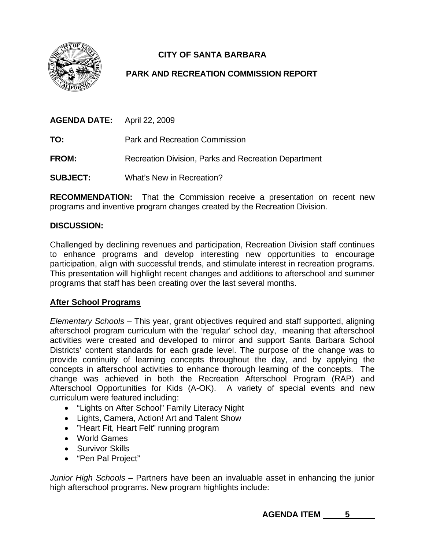

# **CITY OF SANTA BARBARA**

## **PARK AND RECREATION COMMISSION REPORT**

| <b>AGENDA DATE:</b> April 22, 2009 |                                                      |
|------------------------------------|------------------------------------------------------|
| TO:                                | Park and Recreation Commission                       |
| <b>FROM:</b>                       | Recreation Division, Parks and Recreation Department |
| <b>SUBJECT:</b>                    | What's New in Recreation?                            |

**RECOMMENDATION:** That the Commission receive a presentation on recent new programs and inventive program changes created by the Recreation Division.

#### **DISCUSSION:**

Challenged by declining revenues and participation, Recreation Division staff continues to enhance programs and develop interesting new opportunities to encourage participation, align with successful trends, and stimulate interest in recreation programs. This presentation will highlight recent changes and additions to afterschool and summer programs that staff has been creating over the last several months.

#### **After School Programs**

*Elementary Schools* – This year, grant objectives required and staff supported, aligning afterschool program curriculum with the 'regular' school day, meaning that afterschool activities were created and developed to mirror and support Santa Barbara School Districts' content standards for each grade level. The purpose of the change was to provide continuity of learning concepts throughout the day, and by applying the concepts in afterschool activities to enhance thorough learning of the concepts. The change was achieved in both the Recreation Afterschool Program (RAP) and Afterschool Opportunities for Kids (A-OK). A variety of special events and new curriculum were featured including:

- "Lights on After School" Family Literacy Night
- Lights, Camera, Action! Art and Talent Show
- "Heart Fit, Heart Felt" running program
- World Games
- Survivor Skills
- "Pen Pal Project"

*Junior High Schools* – Partners have been an invaluable asset in enhancing the junior high afterschool programs. New program highlights include:

AGENDA ITEM 5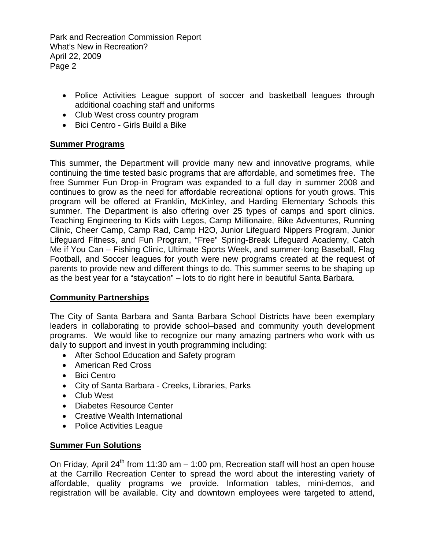Park and Recreation Commission Report What's New in Recreation? April 22, 2009 Page 2

- Police Activities League support of soccer and basketball leagues through additional coaching staff and uniforms
- Club West cross country program
- Bici Centro Girls Build a Bike

## **Summer Programs**

This summer, the Department will provide many new and innovative programs, while continuing the time tested basic programs that are affordable, and sometimes free. The free Summer Fun Drop-in Program was expanded to a full day in summer 2008 and continues to grow as the need for affordable recreational options for youth grows. This program will be offered at Franklin, McKinley, and Harding Elementary Schools this summer. The Department is also offering over 25 types of camps and sport clinics. Teaching Engineering to Kids with Legos, Camp Millionaire, Bike Adventures, Running Clinic, Cheer Camp, Camp Rad, Camp H2O, Junior Lifeguard Nippers Program, Junior Lifeguard Fitness, and Fun Program, "Free" Spring-Break Lifeguard Academy, Catch Me if You Can – Fishing Clinic, Ultimate Sports Week, and summer-long Baseball, Flag Football, and Soccer leagues for youth were new programs created at the request of parents to provide new and different things to do. This summer seems to be shaping up as the best year for a "staycation" – lots to do right here in beautiful Santa Barbara.

## **Community Partnerships**

The City of Santa Barbara and Santa Barbara School Districts have been exemplary leaders in collaborating to provide school–based and community youth development programs. We would like to recognize our many amazing partners who work with us daily to support and invest in youth programming including:

- After School Education and Safety program
- American Red Cross
- Bici Centro
- City of Santa Barbara Creeks, Libraries, Parks
- Club West
- Diabetes Resource Center
- Creative Wealth International
- Police Activities League

## **Summer Fun Solutions**

On Friday, April 24<sup>th</sup> from 11:30 am  $-$  1:00 pm, Recreation staff will host an open house at the Carrillo Recreation Center to spread the word about the interesting variety of affordable, quality programs we provide. Information tables, mini-demos, and registration will be available. City and downtown employees were targeted to attend,